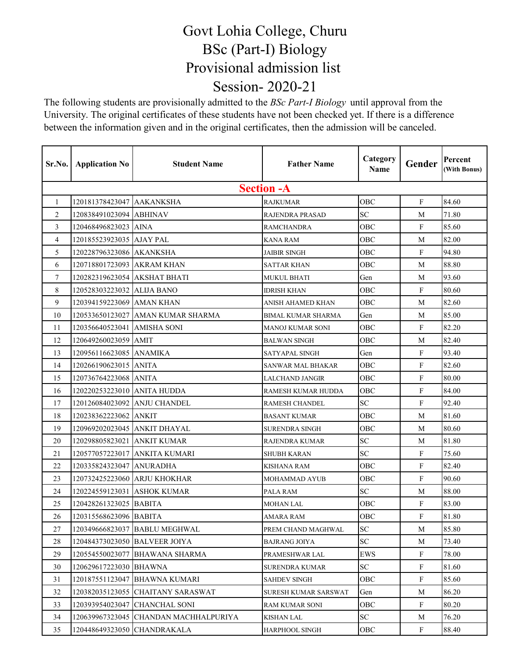## Govt Lohia College, Churu BSc (Part-I) Biology Provisional admission list Session- 2020-21

The following students are provisionally admitted to the *BSc Part-I Biology* until approval from the University. The original certificates of these students have not been checked yet. If there is a difference between the information given and in the original certificates, then the admission will be canceled.

| Sr.No. | <b>Application No</b>        | <b>Student Name</b>               | <b>Father Name</b>     | Category<br>Name | Gender       | Percent<br>(With Bonus) |
|--------|------------------------------|-----------------------------------|------------------------|------------------|--------------|-------------------------|
|        |                              |                                   | <b>Section - A</b>     |                  |              |                         |
| 1      | 120181378423047 AAKANKSHA    |                                   | <b>RAJKUMAR</b>        | OBC              | $\mathbf F$  | 84.60                   |
| 2      | 120838491023094 ABHINAV      |                                   | RAJENDRA PRASAD        | SC               | М            | 71.80                   |
| 3      | 120468496823023 IAINA        |                                   | <b>RAMCHANDRA</b>      | OBC              | F            | 85.60                   |
| 4      | 120185523923035 AJAY PAL     |                                   | KANA RAM               | <b>OBC</b>       | М            | 82.00                   |
| 5      | 120228796323086 AKANKSHA     |                                   | <b>JAIBIR SINGH</b>    | OBC              | $\mathbf F$  | 94.80                   |
| 6      | 120718801723093 AKRAM KHAN   |                                   | SATTAR KHAN            | OBC              | M            | 88.80                   |
| 7      | 120282319623054 AKSHAT BHATI |                                   | MUKUL BHATI            | Gen              | M            | 93.60                   |
| 8      | 120528303223032 ALIJA BANO   |                                   | IDRISH KHAN            | OBC              | F            | 80.60                   |
| 9      | 120394159223069 AMAN KHAN    |                                   | ANISH AHAMED KHAN      | OBC              | M            | 82.60                   |
| 10     |                              | 120533650123027 AMAN KUMAR SHARMA | BIMAL KUMAR SHARMA     | Gen              | M            | 85.00                   |
| 11     | 120356640523041 AMISHA SONI  |                                   | MANOJ KUMAR SONI       | OBC              | $\mathbf F$  | 82.20                   |
| 12     | 120649260023059 AMIT         |                                   | <b>BALWAN SINGH</b>    | OBC              | М            | 82.40                   |
| 13     | 120956116623085 ANAMIKA      |                                   | SATYAPAL SINGH         | Gen              | $\mathbf F$  | 93.40                   |
| 14     | 120266190623015 ANITA        |                                   | SANWAR MAL BHAKAR      | OBC              | F            | 82.60                   |
| 15     | 120736764223068 ANITA        |                                   | <b>LALCHAND JANGIR</b> | OBC              | $\mathbf F$  | 80.00                   |
| 16     | 120220253223010 ANITA HUDDA  |                                   | RAMESH KUMAR HUDDA     | OBC              | F            | 84.00                   |
| 17     |                              | 120126084023092 ANJU CHANDEL      | <b>RAMESH CHANDEL</b>  | SC               | $\mathbf F$  | 92.40                   |
| 18     | 120238362223062 ANKIT        |                                   | <b>BASANT KUMAR</b>    | OBC              | M            | 81.60                   |
| 19     |                              | 120969202023045 ANKIT DHAYAL      | <b>SURENDRA SINGH</b>  | OBC              | M            | 80.60                   |
| 20     | 120298805823021              | <b>ANKIT KUMAR</b>                | RAJENDRA KUMAR         | ${\rm SC}$       | M            | 81.80                   |
| 21     |                              | 120577057223017 ANKITA KUMARI     | <b>SHUBH KARAN</b>     | SC               | ${\bf F}$    | 75.60                   |
| 22     | 120335824323047 ANURADHA     |                                   | KISHANA RAM            | OBC              | F            | 82.40                   |
| 23     |                              | 120732425223060 ARJU KHOKHAR      | MOHAMMAD AYUB          | OBC              | $\mathbf F$  | 90.60                   |
| 24     | 120224559123031 ASHOK KUMAR  |                                   | PALA RAM               | SC               | М            | 88.00                   |
| 25     | 120428261323025 BABITA       |                                   | <b>MOHAN LAL</b>       | OBC              | $\mathbf F$  | 83.00                   |
| 26     | 120315568623096 BABITA       |                                   | AMARA RAM              | OBC              | F            | 81.80                   |
| 27     |                              | 120349666823037 BABLU MEGHWAL     | PREM CHAND MAGHWAL     | SC               | М            | 85.80                   |
| 28     |                              | 120484373023050 BALVEER JOIYA     | <b>BAJRANG JOIYA</b>   | SC               | М            | 73.40                   |
| 29     |                              | 120554550023077 BHAWANA SHARMA    | PRAMESHWAR LAL         | EWS              | $\mathbf{F}$ | 78.00                   |
| 30     | 120629617223030 BHAWNA       |                                   | <b>SURENDRA KUMAR</b>  | SC               | $\mathbf{F}$ | 81.60                   |
| 31     |                              | 120187551123047 BHAWNA KUMARI     | SAHDEV SINGH           | OBC              | $\mathbf{F}$ | 85.60                   |
| 32     |                              | 120382035123055 CHAITANY SARASWAT | SURESH KUMAR SARSWAT   | Gen              | М            | 86.20                   |
| 33     |                              | 120393954023047 CHANCHAL SONI     | RAM KUMAR SONI         | OBC              | F            | 80.20                   |
| 34     |                              |                                   | KISHAN LAL             | SC               | М            | 76.20                   |
| 35     |                              | 120448649323050   CHANDRAKALA     | HARPHOOL SINGH         | OBC              | F            | 88.40                   |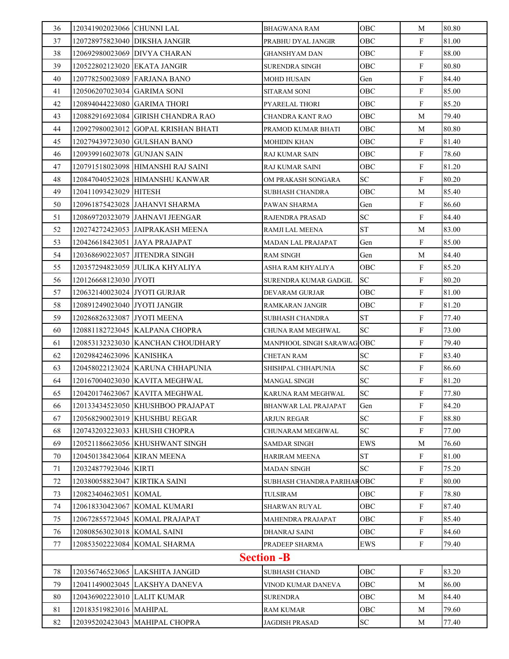| $\mathbf F$<br>81.00<br>120728975823040 DIKSHA JANGIR<br>OBC<br>37<br>PRABHU DYAL JANGIR<br>88.00<br>38<br>120692980023069 DIVYA CHARAN<br>OBC<br>F<br>GHANSHYAM DAN<br>80.80<br>39<br>$\mathbf F$<br>120522802123020 EKATA JANGIR<br>OBC<br><b>SURENDRA SINGH</b><br>F<br>84.40<br>40<br>120778250023089 FARJANA BANO<br>Gen<br>MOHD HUSAIN<br>F<br>85.00<br>41<br>120506207023034 GARIMA SONI<br>OBC<br>SITARAM SONI<br>85.20<br>42<br>OBC<br>F<br>120894044223080 GARIMA THORI<br>PYARELAL THORI<br>79.40<br>43<br>120882916923084 GIRISH CHANDRA RAO<br>OBC<br>M<br>CHANDRA KANT RAO<br>80.80<br>44<br>120927980023012 GOPAL KRISHAN BHATI<br>OBC<br>М<br>PRAMOD KUMAR BHATI<br>$\mathbf{F}$<br>81.40<br>45<br>120279439723030 GULSHAN BANO<br>OBC<br>MOHIDIN KHAN<br>$\mathbf F$<br>78.60<br>46<br>120939916023078 GUNJAN SAIN<br>OBC<br>RAJ KUMAR SAIN<br>F<br>81.20<br>47<br>120791518023098 HIMANSHI RAJ SAINI<br>OBC<br>RAJ KUMAR SAINI<br>$\mathbf F$<br>80.20<br>48<br>SC<br>120847040523028 HIMANSHU KANWAR<br>OM PRAKASH SONGARA<br>85.40<br>49<br>OBC<br>120411093423029 HITESH<br>М<br>SUBHASH CHANDRA<br>86.60<br>120961875423028 JAHANVI SHARMA<br>F<br>50<br>PAWAN SHARMA<br>Gen<br>F<br>84.40<br>51<br><b>SC</b><br>120869720323079 JJAHNAVI JEENGAR<br>RAJENDRA PRASAD<br><b>ST</b><br>83.00<br>52<br>120274272423053 JAIPRAKASH MEENA<br>RAMJI LAL MEENA<br>M<br>F<br>53<br>120426618423051 JAYA PRAJAPAT<br>85.00<br><b>MADAN LAL PRAJAPAT</b><br>Gen<br>84.40<br>54<br>120368690223057 JITENDRA SINGH<br><b>RAM SINGH</b><br>Gen<br>M<br>F<br>85.20<br>55<br>120357294823059 JULIKA KHYALIYA<br>ASHA RAM KHYALIYA<br>OBC<br>80.20<br>120126668123030 JYOTI<br>F<br>56<br>SC.<br>SURENDRA KUMAR GADGIL<br>$\mathbf F$<br>57<br>81.00<br>120632140023024 JYOTI GURJAR<br>OBC<br>DEVARAM GURJAR<br>81.20<br>120891249023040 JYOTI JANGIR<br>$\mathbf{F}$<br>58<br>OBC<br>RAMKARAN JANGIR<br>59<br><b>ST</b><br>F<br>77.40<br>120286826323087 JYOTI MEENA<br>SUBHASH CHANDRA<br>SC<br>$\mathbf{F}$<br>73.00<br>120881182723045 KALPANA CHOPRA<br>60<br>CHUNA RAM MEGHWAL<br>$\mathbf F$<br>79.40<br>61<br>120853132323030 KANCHAN CHOUDHARY<br>MANPHOOL SINGH SARAWAG OBC<br>SC<br>$\mathbf{F}$<br>83.40<br>62<br>120298424623096 KANISHKA<br>CHETAN RAM<br>63<br>120458022123024 KARUNA CHHAPUNIA<br><b>SC</b><br>F<br>86.60<br>SHISHPAL CHHAPUNIA<br>$\mathbf F$<br>120167004023030 KAVITA MEGHWAL<br>SC<br>81.20<br>64<br>MANGAL SINGH<br>${\bf SC}$<br>F<br>77.80<br>65<br>120420174623067 KAVITA MEGHWAL<br>KARUNA RAM MEGHWAL<br>84.20<br>120133434523050 KHUSHBOO PRAJAPAT<br>F<br>66<br>Gen<br>BHANWAR LAL PRAJAPAT<br><b>SC</b><br>88.80<br>67<br>120568290023019 KHUSHBU REGAR<br>F<br>ARJUN REGAR<br>77.00<br>120743203223033 KHUSHI CHOPRA<br>SC<br>F<br>68<br>CHUNARAM MEGHWAL<br>76.60<br>69<br>120521186623056 KHUSHWANT SINGH<br>EWS<br>М<br>SAMDAR SINGH<br><b>ST</b><br>F<br>81.00<br>70<br>120450138423064 KIRAN MEENA<br>HARIRAM MEENA<br>SC<br>75.20<br>71<br>120324877923046 KIRTI<br>F<br><b>MADAN SINGH</b><br>F<br>80.00<br>72<br>120380058823047 KIRTIKA SAINI<br>SUBHASH CHANDRA PARIHAROBC<br>73<br>120823404623051 KOMAL<br>OBC<br>F<br>78.80<br>TULSIRAM<br>87.40<br>74<br>F<br>120618330423067 KOMAL KUMARI<br>OBC<br>SHARWAN RUYAL<br>85.40<br>120672855723045 KOMAL PRAJAPAT<br>F<br>75<br>MAHENDRA PRAJAPAT<br>OBC<br>F<br>84.60<br>76<br>OBC<br>120808563023018 KOMAL SAINI<br>DHANRAJ SAINI<br>79.40<br>77<br>120853502223084 KOMAL SHARMA<br>PRADEEP SHARMA<br>EWS<br>F<br><b>Section -B</b><br>78<br>120356746523065 LAKSHITA JANGID<br>83.20<br>OBC<br>F<br>SUBHASH CHAND<br>86.00<br>79<br>120411490023045 LAKSHYA DANEVA<br>OBC<br>VINOD KUMAR DANEVA<br>M<br>84.40<br>80<br>120436902223010 LALIT KUMAR<br>OBC<br>SURENDRA<br>M<br>79.60<br>81<br>120183519823016 MAHIPAL<br>OBC<br>M<br>RAM KUMAR<br>82<br>120395202423043 MAHIPAL CHOPRA<br>SC<br>77.40<br><b>JAGDISH PRASAD</b><br>M | 36 | 120341902023066 CHUNNI LAL |  | BHAGWANA RAM | OBC | М | 80.80 |  |
|------------------------------------------------------------------------------------------------------------------------------------------------------------------------------------------------------------------------------------------------------------------------------------------------------------------------------------------------------------------------------------------------------------------------------------------------------------------------------------------------------------------------------------------------------------------------------------------------------------------------------------------------------------------------------------------------------------------------------------------------------------------------------------------------------------------------------------------------------------------------------------------------------------------------------------------------------------------------------------------------------------------------------------------------------------------------------------------------------------------------------------------------------------------------------------------------------------------------------------------------------------------------------------------------------------------------------------------------------------------------------------------------------------------------------------------------------------------------------------------------------------------------------------------------------------------------------------------------------------------------------------------------------------------------------------------------------------------------------------------------------------------------------------------------------------------------------------------------------------------------------------------------------------------------------------------------------------------------------------------------------------------------------------------------------------------------------------------------------------------------------------------------------------------------------------------------------------------------------------------------------------------------------------------------------------------------------------------------------------------------------------------------------------------------------------------------------------------------------------------------------------------------------------------------------------------------------------------------------------------------------------------------------------------------------------------------------------------------------------------------------------------------------------------------------------------------------------------------------------------------------------------------------------------------------------------------------------------------------------------------------------------------------------------------------------------------------------------------------------------------------------------------------------------------------------------------------------------------------------------------------------------------------------------------------------------------------------------------------------------------------------------------------------------------------------------------------------------------------------------------------------------------------------------------------------------------------------------------------------------------------------------------------------------------------------------------------------------------------------------------------------------------------------------------------------------------------------------------------------------------------------------------------------------------------------------------------|----|----------------------------|--|--------------|-----|---|-------|--|
|                                                                                                                                                                                                                                                                                                                                                                                                                                                                                                                                                                                                                                                                                                                                                                                                                                                                                                                                                                                                                                                                                                                                                                                                                                                                                                                                                                                                                                                                                                                                                                                                                                                                                                                                                                                                                                                                                                                                                                                                                                                                                                                                                                                                                                                                                                                                                                                                                                                                                                                                                                                                                                                                                                                                                                                                                                                                                                                                                                                                                                                                                                                                                                                                                                                                                                                                                                                                                                                                                                                                                                                                                                                                                                                                                                                                                                                                                                                                                      |    |                            |  |              |     |   |       |  |
|                                                                                                                                                                                                                                                                                                                                                                                                                                                                                                                                                                                                                                                                                                                                                                                                                                                                                                                                                                                                                                                                                                                                                                                                                                                                                                                                                                                                                                                                                                                                                                                                                                                                                                                                                                                                                                                                                                                                                                                                                                                                                                                                                                                                                                                                                                                                                                                                                                                                                                                                                                                                                                                                                                                                                                                                                                                                                                                                                                                                                                                                                                                                                                                                                                                                                                                                                                                                                                                                                                                                                                                                                                                                                                                                                                                                                                                                                                                                                      |    |                            |  |              |     |   |       |  |
|                                                                                                                                                                                                                                                                                                                                                                                                                                                                                                                                                                                                                                                                                                                                                                                                                                                                                                                                                                                                                                                                                                                                                                                                                                                                                                                                                                                                                                                                                                                                                                                                                                                                                                                                                                                                                                                                                                                                                                                                                                                                                                                                                                                                                                                                                                                                                                                                                                                                                                                                                                                                                                                                                                                                                                                                                                                                                                                                                                                                                                                                                                                                                                                                                                                                                                                                                                                                                                                                                                                                                                                                                                                                                                                                                                                                                                                                                                                                                      |    |                            |  |              |     |   |       |  |
|                                                                                                                                                                                                                                                                                                                                                                                                                                                                                                                                                                                                                                                                                                                                                                                                                                                                                                                                                                                                                                                                                                                                                                                                                                                                                                                                                                                                                                                                                                                                                                                                                                                                                                                                                                                                                                                                                                                                                                                                                                                                                                                                                                                                                                                                                                                                                                                                                                                                                                                                                                                                                                                                                                                                                                                                                                                                                                                                                                                                                                                                                                                                                                                                                                                                                                                                                                                                                                                                                                                                                                                                                                                                                                                                                                                                                                                                                                                                                      |    |                            |  |              |     |   |       |  |
|                                                                                                                                                                                                                                                                                                                                                                                                                                                                                                                                                                                                                                                                                                                                                                                                                                                                                                                                                                                                                                                                                                                                                                                                                                                                                                                                                                                                                                                                                                                                                                                                                                                                                                                                                                                                                                                                                                                                                                                                                                                                                                                                                                                                                                                                                                                                                                                                                                                                                                                                                                                                                                                                                                                                                                                                                                                                                                                                                                                                                                                                                                                                                                                                                                                                                                                                                                                                                                                                                                                                                                                                                                                                                                                                                                                                                                                                                                                                                      |    |                            |  |              |     |   |       |  |
|                                                                                                                                                                                                                                                                                                                                                                                                                                                                                                                                                                                                                                                                                                                                                                                                                                                                                                                                                                                                                                                                                                                                                                                                                                                                                                                                                                                                                                                                                                                                                                                                                                                                                                                                                                                                                                                                                                                                                                                                                                                                                                                                                                                                                                                                                                                                                                                                                                                                                                                                                                                                                                                                                                                                                                                                                                                                                                                                                                                                                                                                                                                                                                                                                                                                                                                                                                                                                                                                                                                                                                                                                                                                                                                                                                                                                                                                                                                                                      |    |                            |  |              |     |   |       |  |
|                                                                                                                                                                                                                                                                                                                                                                                                                                                                                                                                                                                                                                                                                                                                                                                                                                                                                                                                                                                                                                                                                                                                                                                                                                                                                                                                                                                                                                                                                                                                                                                                                                                                                                                                                                                                                                                                                                                                                                                                                                                                                                                                                                                                                                                                                                                                                                                                                                                                                                                                                                                                                                                                                                                                                                                                                                                                                                                                                                                                                                                                                                                                                                                                                                                                                                                                                                                                                                                                                                                                                                                                                                                                                                                                                                                                                                                                                                                                                      |    |                            |  |              |     |   |       |  |
|                                                                                                                                                                                                                                                                                                                                                                                                                                                                                                                                                                                                                                                                                                                                                                                                                                                                                                                                                                                                                                                                                                                                                                                                                                                                                                                                                                                                                                                                                                                                                                                                                                                                                                                                                                                                                                                                                                                                                                                                                                                                                                                                                                                                                                                                                                                                                                                                                                                                                                                                                                                                                                                                                                                                                                                                                                                                                                                                                                                                                                                                                                                                                                                                                                                                                                                                                                                                                                                                                                                                                                                                                                                                                                                                                                                                                                                                                                                                                      |    |                            |  |              |     |   |       |  |
|                                                                                                                                                                                                                                                                                                                                                                                                                                                                                                                                                                                                                                                                                                                                                                                                                                                                                                                                                                                                                                                                                                                                                                                                                                                                                                                                                                                                                                                                                                                                                                                                                                                                                                                                                                                                                                                                                                                                                                                                                                                                                                                                                                                                                                                                                                                                                                                                                                                                                                                                                                                                                                                                                                                                                                                                                                                                                                                                                                                                                                                                                                                                                                                                                                                                                                                                                                                                                                                                                                                                                                                                                                                                                                                                                                                                                                                                                                                                                      |    |                            |  |              |     |   |       |  |
|                                                                                                                                                                                                                                                                                                                                                                                                                                                                                                                                                                                                                                                                                                                                                                                                                                                                                                                                                                                                                                                                                                                                                                                                                                                                                                                                                                                                                                                                                                                                                                                                                                                                                                                                                                                                                                                                                                                                                                                                                                                                                                                                                                                                                                                                                                                                                                                                                                                                                                                                                                                                                                                                                                                                                                                                                                                                                                                                                                                                                                                                                                                                                                                                                                                                                                                                                                                                                                                                                                                                                                                                                                                                                                                                                                                                                                                                                                                                                      |    |                            |  |              |     |   |       |  |
|                                                                                                                                                                                                                                                                                                                                                                                                                                                                                                                                                                                                                                                                                                                                                                                                                                                                                                                                                                                                                                                                                                                                                                                                                                                                                                                                                                                                                                                                                                                                                                                                                                                                                                                                                                                                                                                                                                                                                                                                                                                                                                                                                                                                                                                                                                                                                                                                                                                                                                                                                                                                                                                                                                                                                                                                                                                                                                                                                                                                                                                                                                                                                                                                                                                                                                                                                                                                                                                                                                                                                                                                                                                                                                                                                                                                                                                                                                                                                      |    |                            |  |              |     |   |       |  |
|                                                                                                                                                                                                                                                                                                                                                                                                                                                                                                                                                                                                                                                                                                                                                                                                                                                                                                                                                                                                                                                                                                                                                                                                                                                                                                                                                                                                                                                                                                                                                                                                                                                                                                                                                                                                                                                                                                                                                                                                                                                                                                                                                                                                                                                                                                                                                                                                                                                                                                                                                                                                                                                                                                                                                                                                                                                                                                                                                                                                                                                                                                                                                                                                                                                                                                                                                                                                                                                                                                                                                                                                                                                                                                                                                                                                                                                                                                                                                      |    |                            |  |              |     |   |       |  |
|                                                                                                                                                                                                                                                                                                                                                                                                                                                                                                                                                                                                                                                                                                                                                                                                                                                                                                                                                                                                                                                                                                                                                                                                                                                                                                                                                                                                                                                                                                                                                                                                                                                                                                                                                                                                                                                                                                                                                                                                                                                                                                                                                                                                                                                                                                                                                                                                                                                                                                                                                                                                                                                                                                                                                                                                                                                                                                                                                                                                                                                                                                                                                                                                                                                                                                                                                                                                                                                                                                                                                                                                                                                                                                                                                                                                                                                                                                                                                      |    |                            |  |              |     |   |       |  |
|                                                                                                                                                                                                                                                                                                                                                                                                                                                                                                                                                                                                                                                                                                                                                                                                                                                                                                                                                                                                                                                                                                                                                                                                                                                                                                                                                                                                                                                                                                                                                                                                                                                                                                                                                                                                                                                                                                                                                                                                                                                                                                                                                                                                                                                                                                                                                                                                                                                                                                                                                                                                                                                                                                                                                                                                                                                                                                                                                                                                                                                                                                                                                                                                                                                                                                                                                                                                                                                                                                                                                                                                                                                                                                                                                                                                                                                                                                                                                      |    |                            |  |              |     |   |       |  |
|                                                                                                                                                                                                                                                                                                                                                                                                                                                                                                                                                                                                                                                                                                                                                                                                                                                                                                                                                                                                                                                                                                                                                                                                                                                                                                                                                                                                                                                                                                                                                                                                                                                                                                                                                                                                                                                                                                                                                                                                                                                                                                                                                                                                                                                                                                                                                                                                                                                                                                                                                                                                                                                                                                                                                                                                                                                                                                                                                                                                                                                                                                                                                                                                                                                                                                                                                                                                                                                                                                                                                                                                                                                                                                                                                                                                                                                                                                                                                      |    |                            |  |              |     |   |       |  |
|                                                                                                                                                                                                                                                                                                                                                                                                                                                                                                                                                                                                                                                                                                                                                                                                                                                                                                                                                                                                                                                                                                                                                                                                                                                                                                                                                                                                                                                                                                                                                                                                                                                                                                                                                                                                                                                                                                                                                                                                                                                                                                                                                                                                                                                                                                                                                                                                                                                                                                                                                                                                                                                                                                                                                                                                                                                                                                                                                                                                                                                                                                                                                                                                                                                                                                                                                                                                                                                                                                                                                                                                                                                                                                                                                                                                                                                                                                                                                      |    |                            |  |              |     |   |       |  |
|                                                                                                                                                                                                                                                                                                                                                                                                                                                                                                                                                                                                                                                                                                                                                                                                                                                                                                                                                                                                                                                                                                                                                                                                                                                                                                                                                                                                                                                                                                                                                                                                                                                                                                                                                                                                                                                                                                                                                                                                                                                                                                                                                                                                                                                                                                                                                                                                                                                                                                                                                                                                                                                                                                                                                                                                                                                                                                                                                                                                                                                                                                                                                                                                                                                                                                                                                                                                                                                                                                                                                                                                                                                                                                                                                                                                                                                                                                                                                      |    |                            |  |              |     |   |       |  |
|                                                                                                                                                                                                                                                                                                                                                                                                                                                                                                                                                                                                                                                                                                                                                                                                                                                                                                                                                                                                                                                                                                                                                                                                                                                                                                                                                                                                                                                                                                                                                                                                                                                                                                                                                                                                                                                                                                                                                                                                                                                                                                                                                                                                                                                                                                                                                                                                                                                                                                                                                                                                                                                                                                                                                                                                                                                                                                                                                                                                                                                                                                                                                                                                                                                                                                                                                                                                                                                                                                                                                                                                                                                                                                                                                                                                                                                                                                                                                      |    |                            |  |              |     |   |       |  |
|                                                                                                                                                                                                                                                                                                                                                                                                                                                                                                                                                                                                                                                                                                                                                                                                                                                                                                                                                                                                                                                                                                                                                                                                                                                                                                                                                                                                                                                                                                                                                                                                                                                                                                                                                                                                                                                                                                                                                                                                                                                                                                                                                                                                                                                                                                                                                                                                                                                                                                                                                                                                                                                                                                                                                                                                                                                                                                                                                                                                                                                                                                                                                                                                                                                                                                                                                                                                                                                                                                                                                                                                                                                                                                                                                                                                                                                                                                                                                      |    |                            |  |              |     |   |       |  |
|                                                                                                                                                                                                                                                                                                                                                                                                                                                                                                                                                                                                                                                                                                                                                                                                                                                                                                                                                                                                                                                                                                                                                                                                                                                                                                                                                                                                                                                                                                                                                                                                                                                                                                                                                                                                                                                                                                                                                                                                                                                                                                                                                                                                                                                                                                                                                                                                                                                                                                                                                                                                                                                                                                                                                                                                                                                                                                                                                                                                                                                                                                                                                                                                                                                                                                                                                                                                                                                                                                                                                                                                                                                                                                                                                                                                                                                                                                                                                      |    |                            |  |              |     |   |       |  |
|                                                                                                                                                                                                                                                                                                                                                                                                                                                                                                                                                                                                                                                                                                                                                                                                                                                                                                                                                                                                                                                                                                                                                                                                                                                                                                                                                                                                                                                                                                                                                                                                                                                                                                                                                                                                                                                                                                                                                                                                                                                                                                                                                                                                                                                                                                                                                                                                                                                                                                                                                                                                                                                                                                                                                                                                                                                                                                                                                                                                                                                                                                                                                                                                                                                                                                                                                                                                                                                                                                                                                                                                                                                                                                                                                                                                                                                                                                                                                      |    |                            |  |              |     |   |       |  |
|                                                                                                                                                                                                                                                                                                                                                                                                                                                                                                                                                                                                                                                                                                                                                                                                                                                                                                                                                                                                                                                                                                                                                                                                                                                                                                                                                                                                                                                                                                                                                                                                                                                                                                                                                                                                                                                                                                                                                                                                                                                                                                                                                                                                                                                                                                                                                                                                                                                                                                                                                                                                                                                                                                                                                                                                                                                                                                                                                                                                                                                                                                                                                                                                                                                                                                                                                                                                                                                                                                                                                                                                                                                                                                                                                                                                                                                                                                                                                      |    |                            |  |              |     |   |       |  |
|                                                                                                                                                                                                                                                                                                                                                                                                                                                                                                                                                                                                                                                                                                                                                                                                                                                                                                                                                                                                                                                                                                                                                                                                                                                                                                                                                                                                                                                                                                                                                                                                                                                                                                                                                                                                                                                                                                                                                                                                                                                                                                                                                                                                                                                                                                                                                                                                                                                                                                                                                                                                                                                                                                                                                                                                                                                                                                                                                                                                                                                                                                                                                                                                                                                                                                                                                                                                                                                                                                                                                                                                                                                                                                                                                                                                                                                                                                                                                      |    |                            |  |              |     |   |       |  |
|                                                                                                                                                                                                                                                                                                                                                                                                                                                                                                                                                                                                                                                                                                                                                                                                                                                                                                                                                                                                                                                                                                                                                                                                                                                                                                                                                                                                                                                                                                                                                                                                                                                                                                                                                                                                                                                                                                                                                                                                                                                                                                                                                                                                                                                                                                                                                                                                                                                                                                                                                                                                                                                                                                                                                                                                                                                                                                                                                                                                                                                                                                                                                                                                                                                                                                                                                                                                                                                                                                                                                                                                                                                                                                                                                                                                                                                                                                                                                      |    |                            |  |              |     |   |       |  |
|                                                                                                                                                                                                                                                                                                                                                                                                                                                                                                                                                                                                                                                                                                                                                                                                                                                                                                                                                                                                                                                                                                                                                                                                                                                                                                                                                                                                                                                                                                                                                                                                                                                                                                                                                                                                                                                                                                                                                                                                                                                                                                                                                                                                                                                                                                                                                                                                                                                                                                                                                                                                                                                                                                                                                                                                                                                                                                                                                                                                                                                                                                                                                                                                                                                                                                                                                                                                                                                                                                                                                                                                                                                                                                                                                                                                                                                                                                                                                      |    |                            |  |              |     |   |       |  |
|                                                                                                                                                                                                                                                                                                                                                                                                                                                                                                                                                                                                                                                                                                                                                                                                                                                                                                                                                                                                                                                                                                                                                                                                                                                                                                                                                                                                                                                                                                                                                                                                                                                                                                                                                                                                                                                                                                                                                                                                                                                                                                                                                                                                                                                                                                                                                                                                                                                                                                                                                                                                                                                                                                                                                                                                                                                                                                                                                                                                                                                                                                                                                                                                                                                                                                                                                                                                                                                                                                                                                                                                                                                                                                                                                                                                                                                                                                                                                      |    |                            |  |              |     |   |       |  |
|                                                                                                                                                                                                                                                                                                                                                                                                                                                                                                                                                                                                                                                                                                                                                                                                                                                                                                                                                                                                                                                                                                                                                                                                                                                                                                                                                                                                                                                                                                                                                                                                                                                                                                                                                                                                                                                                                                                                                                                                                                                                                                                                                                                                                                                                                                                                                                                                                                                                                                                                                                                                                                                                                                                                                                                                                                                                                                                                                                                                                                                                                                                                                                                                                                                                                                                                                                                                                                                                                                                                                                                                                                                                                                                                                                                                                                                                                                                                                      |    |                            |  |              |     |   |       |  |
|                                                                                                                                                                                                                                                                                                                                                                                                                                                                                                                                                                                                                                                                                                                                                                                                                                                                                                                                                                                                                                                                                                                                                                                                                                                                                                                                                                                                                                                                                                                                                                                                                                                                                                                                                                                                                                                                                                                                                                                                                                                                                                                                                                                                                                                                                                                                                                                                                                                                                                                                                                                                                                                                                                                                                                                                                                                                                                                                                                                                                                                                                                                                                                                                                                                                                                                                                                                                                                                                                                                                                                                                                                                                                                                                                                                                                                                                                                                                                      |    |                            |  |              |     |   |       |  |
|                                                                                                                                                                                                                                                                                                                                                                                                                                                                                                                                                                                                                                                                                                                                                                                                                                                                                                                                                                                                                                                                                                                                                                                                                                                                                                                                                                                                                                                                                                                                                                                                                                                                                                                                                                                                                                                                                                                                                                                                                                                                                                                                                                                                                                                                                                                                                                                                                                                                                                                                                                                                                                                                                                                                                                                                                                                                                                                                                                                                                                                                                                                                                                                                                                                                                                                                                                                                                                                                                                                                                                                                                                                                                                                                                                                                                                                                                                                                                      |    |                            |  |              |     |   |       |  |
|                                                                                                                                                                                                                                                                                                                                                                                                                                                                                                                                                                                                                                                                                                                                                                                                                                                                                                                                                                                                                                                                                                                                                                                                                                                                                                                                                                                                                                                                                                                                                                                                                                                                                                                                                                                                                                                                                                                                                                                                                                                                                                                                                                                                                                                                                                                                                                                                                                                                                                                                                                                                                                                                                                                                                                                                                                                                                                                                                                                                                                                                                                                                                                                                                                                                                                                                                                                                                                                                                                                                                                                                                                                                                                                                                                                                                                                                                                                                                      |    |                            |  |              |     |   |       |  |
|                                                                                                                                                                                                                                                                                                                                                                                                                                                                                                                                                                                                                                                                                                                                                                                                                                                                                                                                                                                                                                                                                                                                                                                                                                                                                                                                                                                                                                                                                                                                                                                                                                                                                                                                                                                                                                                                                                                                                                                                                                                                                                                                                                                                                                                                                                                                                                                                                                                                                                                                                                                                                                                                                                                                                                                                                                                                                                                                                                                                                                                                                                                                                                                                                                                                                                                                                                                                                                                                                                                                                                                                                                                                                                                                                                                                                                                                                                                                                      |    |                            |  |              |     |   |       |  |
|                                                                                                                                                                                                                                                                                                                                                                                                                                                                                                                                                                                                                                                                                                                                                                                                                                                                                                                                                                                                                                                                                                                                                                                                                                                                                                                                                                                                                                                                                                                                                                                                                                                                                                                                                                                                                                                                                                                                                                                                                                                                                                                                                                                                                                                                                                                                                                                                                                                                                                                                                                                                                                                                                                                                                                                                                                                                                                                                                                                                                                                                                                                                                                                                                                                                                                                                                                                                                                                                                                                                                                                                                                                                                                                                                                                                                                                                                                                                                      |    |                            |  |              |     |   |       |  |
|                                                                                                                                                                                                                                                                                                                                                                                                                                                                                                                                                                                                                                                                                                                                                                                                                                                                                                                                                                                                                                                                                                                                                                                                                                                                                                                                                                                                                                                                                                                                                                                                                                                                                                                                                                                                                                                                                                                                                                                                                                                                                                                                                                                                                                                                                                                                                                                                                                                                                                                                                                                                                                                                                                                                                                                                                                                                                                                                                                                                                                                                                                                                                                                                                                                                                                                                                                                                                                                                                                                                                                                                                                                                                                                                                                                                                                                                                                                                                      |    |                            |  |              |     |   |       |  |
|                                                                                                                                                                                                                                                                                                                                                                                                                                                                                                                                                                                                                                                                                                                                                                                                                                                                                                                                                                                                                                                                                                                                                                                                                                                                                                                                                                                                                                                                                                                                                                                                                                                                                                                                                                                                                                                                                                                                                                                                                                                                                                                                                                                                                                                                                                                                                                                                                                                                                                                                                                                                                                                                                                                                                                                                                                                                                                                                                                                                                                                                                                                                                                                                                                                                                                                                                                                                                                                                                                                                                                                                                                                                                                                                                                                                                                                                                                                                                      |    |                            |  |              |     |   |       |  |
|                                                                                                                                                                                                                                                                                                                                                                                                                                                                                                                                                                                                                                                                                                                                                                                                                                                                                                                                                                                                                                                                                                                                                                                                                                                                                                                                                                                                                                                                                                                                                                                                                                                                                                                                                                                                                                                                                                                                                                                                                                                                                                                                                                                                                                                                                                                                                                                                                                                                                                                                                                                                                                                                                                                                                                                                                                                                                                                                                                                                                                                                                                                                                                                                                                                                                                                                                                                                                                                                                                                                                                                                                                                                                                                                                                                                                                                                                                                                                      |    |                            |  |              |     |   |       |  |
|                                                                                                                                                                                                                                                                                                                                                                                                                                                                                                                                                                                                                                                                                                                                                                                                                                                                                                                                                                                                                                                                                                                                                                                                                                                                                                                                                                                                                                                                                                                                                                                                                                                                                                                                                                                                                                                                                                                                                                                                                                                                                                                                                                                                                                                                                                                                                                                                                                                                                                                                                                                                                                                                                                                                                                                                                                                                                                                                                                                                                                                                                                                                                                                                                                                                                                                                                                                                                                                                                                                                                                                                                                                                                                                                                                                                                                                                                                                                                      |    |                            |  |              |     |   |       |  |
|                                                                                                                                                                                                                                                                                                                                                                                                                                                                                                                                                                                                                                                                                                                                                                                                                                                                                                                                                                                                                                                                                                                                                                                                                                                                                                                                                                                                                                                                                                                                                                                                                                                                                                                                                                                                                                                                                                                                                                                                                                                                                                                                                                                                                                                                                                                                                                                                                                                                                                                                                                                                                                                                                                                                                                                                                                                                                                                                                                                                                                                                                                                                                                                                                                                                                                                                                                                                                                                                                                                                                                                                                                                                                                                                                                                                                                                                                                                                                      |    |                            |  |              |     |   |       |  |
|                                                                                                                                                                                                                                                                                                                                                                                                                                                                                                                                                                                                                                                                                                                                                                                                                                                                                                                                                                                                                                                                                                                                                                                                                                                                                                                                                                                                                                                                                                                                                                                                                                                                                                                                                                                                                                                                                                                                                                                                                                                                                                                                                                                                                                                                                                                                                                                                                                                                                                                                                                                                                                                                                                                                                                                                                                                                                                                                                                                                                                                                                                                                                                                                                                                                                                                                                                                                                                                                                                                                                                                                                                                                                                                                                                                                                                                                                                                                                      |    |                            |  |              |     |   |       |  |
|                                                                                                                                                                                                                                                                                                                                                                                                                                                                                                                                                                                                                                                                                                                                                                                                                                                                                                                                                                                                                                                                                                                                                                                                                                                                                                                                                                                                                                                                                                                                                                                                                                                                                                                                                                                                                                                                                                                                                                                                                                                                                                                                                                                                                                                                                                                                                                                                                                                                                                                                                                                                                                                                                                                                                                                                                                                                                                                                                                                                                                                                                                                                                                                                                                                                                                                                                                                                                                                                                                                                                                                                                                                                                                                                                                                                                                                                                                                                                      |    |                            |  |              |     |   |       |  |
|                                                                                                                                                                                                                                                                                                                                                                                                                                                                                                                                                                                                                                                                                                                                                                                                                                                                                                                                                                                                                                                                                                                                                                                                                                                                                                                                                                                                                                                                                                                                                                                                                                                                                                                                                                                                                                                                                                                                                                                                                                                                                                                                                                                                                                                                                                                                                                                                                                                                                                                                                                                                                                                                                                                                                                                                                                                                                                                                                                                                                                                                                                                                                                                                                                                                                                                                                                                                                                                                                                                                                                                                                                                                                                                                                                                                                                                                                                                                                      |    |                            |  |              |     |   |       |  |
|                                                                                                                                                                                                                                                                                                                                                                                                                                                                                                                                                                                                                                                                                                                                                                                                                                                                                                                                                                                                                                                                                                                                                                                                                                                                                                                                                                                                                                                                                                                                                                                                                                                                                                                                                                                                                                                                                                                                                                                                                                                                                                                                                                                                                                                                                                                                                                                                                                                                                                                                                                                                                                                                                                                                                                                                                                                                                                                                                                                                                                                                                                                                                                                                                                                                                                                                                                                                                                                                                                                                                                                                                                                                                                                                                                                                                                                                                                                                                      |    |                            |  |              |     |   |       |  |
|                                                                                                                                                                                                                                                                                                                                                                                                                                                                                                                                                                                                                                                                                                                                                                                                                                                                                                                                                                                                                                                                                                                                                                                                                                                                                                                                                                                                                                                                                                                                                                                                                                                                                                                                                                                                                                                                                                                                                                                                                                                                                                                                                                                                                                                                                                                                                                                                                                                                                                                                                                                                                                                                                                                                                                                                                                                                                                                                                                                                                                                                                                                                                                                                                                                                                                                                                                                                                                                                                                                                                                                                                                                                                                                                                                                                                                                                                                                                                      |    |                            |  |              |     |   |       |  |
|                                                                                                                                                                                                                                                                                                                                                                                                                                                                                                                                                                                                                                                                                                                                                                                                                                                                                                                                                                                                                                                                                                                                                                                                                                                                                                                                                                                                                                                                                                                                                                                                                                                                                                                                                                                                                                                                                                                                                                                                                                                                                                                                                                                                                                                                                                                                                                                                                                                                                                                                                                                                                                                                                                                                                                                                                                                                                                                                                                                                                                                                                                                                                                                                                                                                                                                                                                                                                                                                                                                                                                                                                                                                                                                                                                                                                                                                                                                                                      |    |                            |  |              |     |   |       |  |
|                                                                                                                                                                                                                                                                                                                                                                                                                                                                                                                                                                                                                                                                                                                                                                                                                                                                                                                                                                                                                                                                                                                                                                                                                                                                                                                                                                                                                                                                                                                                                                                                                                                                                                                                                                                                                                                                                                                                                                                                                                                                                                                                                                                                                                                                                                                                                                                                                                                                                                                                                                                                                                                                                                                                                                                                                                                                                                                                                                                                                                                                                                                                                                                                                                                                                                                                                                                                                                                                                                                                                                                                                                                                                                                                                                                                                                                                                                                                                      |    |                            |  |              |     |   |       |  |
|                                                                                                                                                                                                                                                                                                                                                                                                                                                                                                                                                                                                                                                                                                                                                                                                                                                                                                                                                                                                                                                                                                                                                                                                                                                                                                                                                                                                                                                                                                                                                                                                                                                                                                                                                                                                                                                                                                                                                                                                                                                                                                                                                                                                                                                                                                                                                                                                                                                                                                                                                                                                                                                                                                                                                                                                                                                                                                                                                                                                                                                                                                                                                                                                                                                                                                                                                                                                                                                                                                                                                                                                                                                                                                                                                                                                                                                                                                                                                      |    |                            |  |              |     |   |       |  |
|                                                                                                                                                                                                                                                                                                                                                                                                                                                                                                                                                                                                                                                                                                                                                                                                                                                                                                                                                                                                                                                                                                                                                                                                                                                                                                                                                                                                                                                                                                                                                                                                                                                                                                                                                                                                                                                                                                                                                                                                                                                                                                                                                                                                                                                                                                                                                                                                                                                                                                                                                                                                                                                                                                                                                                                                                                                                                                                                                                                                                                                                                                                                                                                                                                                                                                                                                                                                                                                                                                                                                                                                                                                                                                                                                                                                                                                                                                                                                      |    |                            |  |              |     |   |       |  |
|                                                                                                                                                                                                                                                                                                                                                                                                                                                                                                                                                                                                                                                                                                                                                                                                                                                                                                                                                                                                                                                                                                                                                                                                                                                                                                                                                                                                                                                                                                                                                                                                                                                                                                                                                                                                                                                                                                                                                                                                                                                                                                                                                                                                                                                                                                                                                                                                                                                                                                                                                                                                                                                                                                                                                                                                                                                                                                                                                                                                                                                                                                                                                                                                                                                                                                                                                                                                                                                                                                                                                                                                                                                                                                                                                                                                                                                                                                                                                      |    |                            |  |              |     |   |       |  |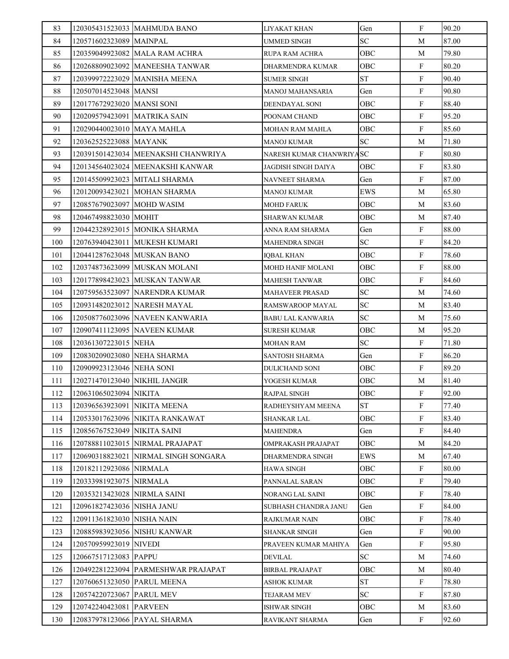| 83  |                               | 120305431523033 MAHMUDA BANO          | LIYAKAT KHAN               | Gen        | F            | 90.20 |
|-----|-------------------------------|---------------------------------------|----------------------------|------------|--------------|-------|
| 84  | 120571602323089 MAINPAL       |                                       | <b>UMMED SINGH</b>         | SC         | M            | 87.00 |
| 85  |                               | 120359049923082 MALA RAM ACHRA        | RUPA RAM ACHRA             | <b>OBC</b> | M            | 79.80 |
| 86  |                               | 120268809023092 MANEESHA TANWAR       | DHARMENDRA KUMAR           | OBC        | F            | 80.20 |
| 87  |                               | 120399972223029 MANISHA MEENA         | <b>SUMER SINGH</b>         | <b>ST</b>  | ${\bf F}$    | 90.40 |
| 88  | 120507014523048 MANSI         |                                       | MANOJ MAHANSARIA           | Gen        | $\mathbf{F}$ | 90.80 |
| 89  | 120177672923020 MANSI SONI    |                                       | DEENDAYAL SONI             | OBC        | $\mathbf{F}$ | 88.40 |
| 90  | 120209579423091 MATRIKA SAIN  |                                       | POONAM CHAND               | OBC        | F            | 95.20 |
| 91  | 120290440023010 MAYA MAHLA    |                                       | MOHAN RAM MAHLA            | OBC        | F            | 85.60 |
| 92  | 120362525223088 MAYANK        |                                       | <b>MANOJ KUMAR</b>         | SC         | М            | 71.80 |
| 93  |                               | 120391501423034   MEENAKSHI CHANWRIYA | NARESH KUMAR CHANWRIYASC   |            | F            | 80.80 |
| 94  |                               | 120134564023024 MEENAKSHI KANWAR      | <b>JAGDISH SINGH DAIYA</b> | <b>OBC</b> | F            | 83.80 |
| 95  |                               | 120145509923023 MITALI SHARMA         | NAVNEET SHARMA             | Gen        | F            | 87.00 |
| 96  |                               | 120120093423021 MOHAN SHARMA          | MANOJ KUMAR                | <b>EWS</b> | М            | 65.80 |
| 97  | 120857679023097 MOHD WASIM    |                                       | <b>MOHD FARUK</b>          | OBC        | М            | 83.60 |
| 98  | 120467498823030 MOHIT         |                                       | SHARWAN KUMAR              | OBC        | M            | 87.40 |
| 99  |                               | 120442328923015 MONIKA SHARMA         | ANNA RAM SHARMA            | Gen        | F            | 88.00 |
| 100 |                               | 120763940423011 MUKESH KUMARI         | <b>MAHENDRA SINGH</b>      | <b>SC</b>  | F            | 84.20 |
| 101 | 120441287623048 MUSKAN BANO   |                                       | <b>IOBAL KHAN</b>          | OBC        | $\mathbf{F}$ | 78.60 |
| 102 |                               | 120374873623099 MUSKAN MOLANI         | MOHD HANIF MOLANI          | OBC        | F            | 88.00 |
| 103 |                               | 120177898423023 MUSKAN TANWAR         | <b>MAHESH TANWAR</b>       | OBC        | F            | 84.60 |
| 104 |                               | 120759563523097   NARENDRA KUMAR      | <b>MAHAVEER PRASAD</b>     | <b>SC</b>  | М            | 74.60 |
| 105 |                               | 120931482023012 NARESH MAYAL          | RAMSWAROOP MAYAL           | SC         | M            | 83.40 |
| 106 |                               | 120508776023096 NAVEEN KANWARIA       | BABU LAL KANWARIA          | SC         | М            | 75.60 |
| 107 |                               | 120907411123095 NAVEEN KUMAR          | <b>SURESH KUMAR</b>        | OBC        | M            | 95.20 |
| 108 | 120361307223015 NEHA          |                                       | MOHAN RAM                  | <b>SC</b>  | F            | 71.80 |
| 109 | 120830209023080 NEHA SHARMA   |                                       | SANTOSH SHARMA             | Gen        | F            | 86.20 |
| 110 | 120909923123046 NEHA SONI     |                                       | DULICHAND SONI             | OBC        | $\mathbf{F}$ | 89.20 |
| 111 | 120271470123040 NIKHIL JANGIR |                                       | YOGESH KUMAR               | OBC        | M            | 81.40 |
| 112 | 120631065023094 NIKITA        |                                       | <b>RAJPAL SINGH</b>        | OBC        | ${\bf F}$    | 92.00 |
| 113 | 120396563923091 NIKITA MEENA  |                                       | RADHEYSHYAM MEENA          | <b>ST</b>  | $\mathbf{F}$ | 77.40 |
| 114 |                               | 120533017623096 NIKITA RANKAWAT       | SHANKAR LAL                | OBC        | F            | 83.40 |
| 115 | 120856767523049 NIKITA SAINI  |                                       | <b>MAHENDRA</b>            | Gen        | F            | 84.40 |
| 116 |                               | 120788811023015  NIRMAL PRAJAPAT      | OMPRAKASH PRAJAPAT         | OBC        | М            | 84.20 |
| 117 |                               | 120690318823021 NIRMAL SINGH SONGARA  | DHARMENDRA SINGH           | <b>EWS</b> | M            | 67.40 |
| 118 | 120182112923086 NIRMALA       |                                       | HAWA SINGH                 | OBC        | $\mathbf{F}$ | 80.00 |
| 119 | 120333981923075 NIRMALA       |                                       | PANNALAL SARAN             | <b>OBC</b> | F            | 79.40 |
| 120 | 120353213423028  NIRMLA SAINI |                                       | NORANG LAL SAINI           | OBC        | $\mathbf{F}$ | 78.40 |
| 121 | 120961827423036 NISHA JANU    |                                       | SUBHASH CHANDRA JANU       | Gen        | F            | 84.00 |
| 122 | 120911361823030 NISHA NAIN    |                                       | RAJKUMAR NAIN              | OBC        | F            | 78.40 |
| 123 |                               | 120885983923056 NISHU KANWAR          | SHANKAR SINGH              | Gen        | $\mathbf{F}$ | 90.00 |
| 124 | 120570959923019 NIVEDI        |                                       | PRAVEEN KUMAR MAHIYA       | Gen        | $\mathbf{F}$ | 95.80 |
| 125 | 120667517123083 PAPPU         |                                       | DEVILAL                    | <b>SC</b>  | М            | 74.60 |
| 126 |                               | 120492281223094 PARMESHWAR PRAJAPAT   | BIRBAL PRAJAPAT            | OBC        | M            | 80.40 |
| 127 | 120760651323050 PARUL MEENA   |                                       | ASHOK KUMAR                | <b>ST</b>  | F            | 78.80 |
| 128 | 120574220723067 PARUL MEV     |                                       | <b>TEJARAM MEV</b>         | SC         | F            | 87.80 |
| 129 | 120742240423081               | <b>PARVEEN</b>                        | <b>ISHWAR SINGH</b>        | OBC        | М            | 83.60 |
| 130 |                               | 120837978123066 PAYAL SHARMA          | <b>RAVIKANT SHARMA</b>     | Gen        | $\mathbf{F}$ | 92.60 |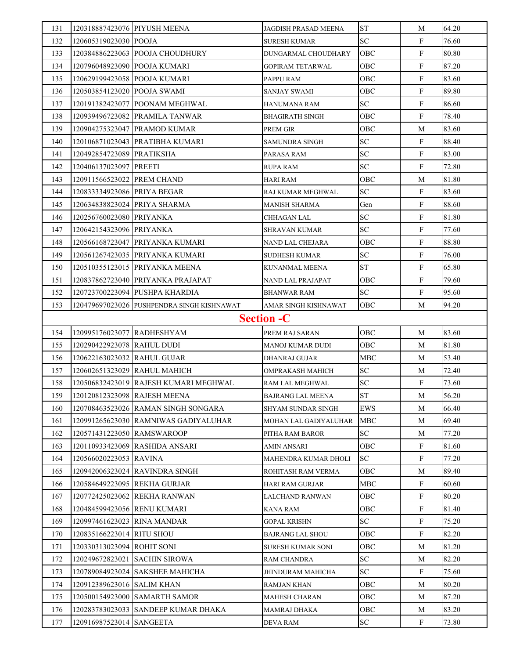| 131 | 120318887423076 PIYUSH MEENA |                                            | JAGDISH PRASAD MEENA      | <b>ST</b>  | М            | 64.20 |
|-----|------------------------------|--------------------------------------------|---------------------------|------------|--------------|-------|
| 132 | 120605319023030 POOJA        |                                            | <b>SURESH KUMAR</b>       | <b>SC</b>  | $\mathbf{F}$ | 76.60 |
| 133 |                              | 120384886223063 POOJA CHOUDHURY            | DUNGARMAL CHOUDHARY       | OBC        | F            | 80.80 |
| 134 | 120796048923090 POOJA KUMARI |                                            | <b>GOPIRAM TETARWAL</b>   | <b>OBC</b> | $\mathbf{F}$ | 87.20 |
| 135 | 120629199423058 POOJA KUMARI |                                            | PAPPU RAM                 | OBC        | F            | 83.60 |
| 136 | 120503854123020 POOJA SWAMI  |                                            | SANJAY SWAMI              | OBC        | $\mathbf{F}$ | 89.80 |
| 137 |                              | 120191382423077 POONAM MEGHWAL             | HANUMANA RAM              | SC         | $\mathbf F$  | 86.60 |
| 138 |                              | 120939496723082 PRAMILA TANWAR             | <b>BHAGIRATH SINGH</b>    | <b>OBC</b> | F            | 78.40 |
| 139 |                              | 120904275323047 PRAMOD KUMAR               | PREM GIR                  | OBC        | М            | 83.60 |
| 140 |                              | 120106871023043 PRATIBHA KUMARI            | <b>SAMUNDRA SINGH</b>     | SC         | F            | 88.40 |
| 141 | 120492854723089 PRATIKSHA    |                                            | PARASA RAM                | SC         | F            | 83.00 |
| 142 | 120406137023097 PREETI       |                                            | <b>RUPA RAM</b>           | <b>SC</b>  | F            | 72.80 |
| 143 | 120911566523022 PREM CHAND   |                                            | <b>HARI RAM</b>           | OBC        | М            | 81.80 |
| 144 | 120833334923086 PRIYA BEGAR  |                                            | RAJ KUMAR MEGHWAL         | SC         | F            | 83.60 |
| 145 | 120634838823024 PRIYA SHARMA |                                            | <b>MANISH SHARMA</b>      | Gen        | $\mathbf F$  | 88.60 |
| 146 | 120256760023080 PRIYANKA     |                                            | <b>CHHAGAN LAL</b>        | SC         | F            | 81.80 |
| 147 | 120642154323096 PRIYANKA     |                                            | SHRAVAN KUMAR             | SC         | F            | 77.60 |
| 148 |                              | 120566168723047 PRIYANKA KUMARI            | NAND LAL CHEJARA          | OBC        | F            | 88.80 |
| 149 |                              | 120561267423035 PRIYANKA KUMARI            | <b>SUDHESH KUMAR</b>      | SC         | F            | 76.00 |
| 150 |                              | 120510355123015 PRIYANKA MEENA             | KUNANMAL MEENA            | <b>ST</b>  | F            | 65.80 |
| 151 |                              | 120837862723040 PRIYANKA PRAJAPAT          | NAND LAL PRAJAPAT         | OBC        | $\mathbf F$  | 79.60 |
| 152 |                              | 120723700223094 PUSHPA KHARDIA             | BHANWAR RAM               | SC         | $\mathbf F$  | 95.60 |
| 153 |                              | 120479697023026 PUSHPENDRA SINGH KISHNAWAT | AMAR SINGH KISHNAWAT      | OBC        | M            | 94.20 |
|     |                              |                                            | <b>Section -C</b>         |            |              |       |
| 154 | 120995176023077 RADHESHYAM   |                                            | PREM RAJ SARAN            | <b>OBC</b> | M            | 83.60 |
| 155 | 120290422923078 RAHUL DUDI   |                                            | MANOJ KUMAR DUDI          | <b>OBC</b> | M            | 81.80 |
| 156 | 120622163023032 RAHUL GUJAR  |                                            | <b>DHANRAJ GUJAR</b>      | <b>MBC</b> | М            | 53.40 |
| 157 |                              | 120602651323029 RAHUL MAHICH               | OMPRAKASH MAHICH          | <b>SC</b>  | М            | 72.40 |
| 158 |                              | 120506832423019 RAJESH KUMARI MEGHWAL      | RAM LAL MEGHWAL           | <b>SC</b>  | $\mathbf{F}$ | 73.60 |
| 159 | 120120812323098 RAJESH MEENA |                                            | <b>BAJRANG LAL MEENA</b>  | ST         | $\mathbf M$  | 56.20 |
| 160 |                              | 120708463523026 RAMAN SINGH SONGARA        | <b>SHYAM SUNDAR SINGH</b> | EWS        | M            | 66.40 |
| 161 |                              | 120991265623030 RAMNIWAS GADIYALUHAR       | MOHAN LAL GADIYALUHAR     | <b>MBC</b> | M            | 69.40 |
| 162 | 120571431223050 RAMSWAROOP   |                                            | PITHA RAM BAROR           | SC.        | М            | 77.20 |
| 163 |                              | 120110933423069 RASHIDA ANSARI             | AMIN ANSARI               | OBC        | F            | 81.60 |
| 164 | 120566020223053 RAVINA       |                                            | MAHENDRA KUMAR DHOLI      | <b>SC</b>  | $\mathbf F$  | 77.20 |
| 165 |                              | 120942006323024 RAVINDRA SINGH             | ROHITASH RAM VERMA        | OBC        | M            | 89.40 |
| 166 | 120584649223095 REKHA GURJAR |                                            | <b>HARI RAM GURJAR</b>    | <b>MBC</b> | $\mathbf F$  | 60.60 |
| 167 |                              | 120772425023062 REKHA RANWAN               | LALCHAND RANWAN           | OBC        | $\mathbf{F}$ | 80.20 |
| 168 | 120484599423056 RENU KUMARI  |                                            | <b>KANA RAM</b>           | OBC        | $\mathbf F$  | 81.40 |
| 169 | 120997461623023 RINA MANDAR  |                                            | <b>GOPAL KRISHN</b>       | SC         | F            | 75.20 |
| 170 | 120835166223014 RITU SHOU    |                                            | <b>BAJRANG LAL SHOU</b>   | OBC        | $\mathbf F$  | 82.20 |
| 171 | 120330313023094 ROHIT SONI   |                                            | SURESH KUMAR SONI         | OBC        | М            | 81.20 |
| 172 |                              | 120249672823021 SACHIN SIROWA              | <b>RAM CHANDRA</b>        | SC         | M            | 82.20 |
| 173 |                              | 120789084923024 SAKSHEE MAHICHA            | <b>JHINDURAM MAHICHA</b>  | SC         | F            | 75.60 |
| 174 | 120912389623016 SALIM KHAN   |                                            | <b>RAMJAN KHAN</b>        | OBC        | M            | 80.20 |
| 175 |                              | 120500154923000 SAMARTH SAMOR              | MAHESH CHARAN             | OBC        | М            | 87.20 |
| 176 |                              | 120283783023033 SANDEEP KUMAR DHAKA        | MAMRAJ DHAKA              | OBC        | М            | 83.20 |
|     |                              |                                            |                           |            |              |       |